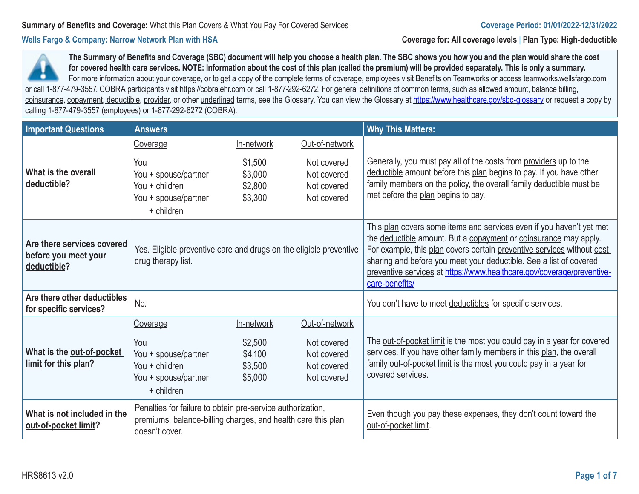**Wells Fargo & Company: Narrow Network Plan with HSA Coverage for: All coverage levels** | **Plan Type: High-deductible**

for covered health care services. NOTE: Information about the cost of this <u>plan</u> (called the <u>premium</u>) will be provided separately. This is only a summary. For more information about your coverage, or to get a copy of the complete terms of coverage, employees visit Benefits on Teamworks or access teamworks.wellsfargo.com; or call 1-877-479-3557. COBRA participants visit https://cobra.ehr.com or call 1-877-292-6272. For general definitions of common terms, such as allowed amount, balance billing, coinsurance, copayment, deductible, provider, or other underlined terms, see the Glossary. You can view the Glossary at https://www.healthcare.gov/sbc-glossary or request a copy by **The Summary of Benefits and Coverage (SBC) document will help you choose a health plan. The SBC shows you how you and the plan would share the cost**  calling 1-877-479-3557 (employees) or 1-877-292-6272 (COBRA).

| <b>Important Questions</b>                                        | <b>Answers</b>                                                                                                                               |                                          |                                                          | <b>Why This Matters:</b>                                                                                                                                                                                                                                                                                                                                                             |
|-------------------------------------------------------------------|----------------------------------------------------------------------------------------------------------------------------------------------|------------------------------------------|----------------------------------------------------------|--------------------------------------------------------------------------------------------------------------------------------------------------------------------------------------------------------------------------------------------------------------------------------------------------------------------------------------------------------------------------------------|
|                                                                   | Coverage                                                                                                                                     | In-network                               | Out-of-network                                           |                                                                                                                                                                                                                                                                                                                                                                                      |
| What is the overall<br>deductible?                                | You<br>You + spouse/partner<br>You + children<br>You + spouse/partner<br>+ children                                                          | \$1,500<br>\$3,000<br>\$2,800<br>\$3,300 | Not covered<br>Not covered<br>Not covered<br>Not covered | Generally, you must pay all of the costs from providers up to the<br>deductible amount before this plan begins to pay. If you have other<br>family members on the policy, the overall family deductible must be<br>met before the plan begins to pay.                                                                                                                                |
| Are there services covered<br>before you meet your<br>deductible? | Yes. Eligible preventive care and drugs on the eligible preventive<br>drug therapy list.                                                     |                                          |                                                          | This plan covers some items and services even if you haven't yet met<br>the deductible amount. But a copayment or coinsurance may apply.<br>For example, this plan covers certain preventive services without cost<br>sharing and before you meet your deductible. See a list of covered<br>preventive services at https://www.healthcare.gov/coverage/preventive-<br>care-benefits/ |
| Are there other deductibles<br>for specific services?             | No.                                                                                                                                          |                                          |                                                          | You don't have to meet deductibles for specific services.                                                                                                                                                                                                                                                                                                                            |
|                                                                   | Coverage                                                                                                                                     | In-network                               | Out-of-network                                           |                                                                                                                                                                                                                                                                                                                                                                                      |
| What is the out-of-pocket<br>limit for this plan?                 | You<br>You + spouse/partner<br>You + children<br>You + spouse/partner<br>+ children                                                          | \$2,500<br>\$4,100<br>\$3,500<br>\$5,000 | Not covered<br>Not covered<br>Not covered<br>Not covered | The out-of-pocket limit is the most you could pay in a year for covered<br>services. If you have other family members in this plan, the overall<br>family out-of-pocket limit is the most you could pay in a year for<br>covered services.                                                                                                                                           |
| What is not included in the<br>out-of-pocket limit?               | Penalties for failure to obtain pre-service authorization,<br>premiums, balance-billing charges, and health care this plan<br>doesn't cover. |                                          |                                                          | Even though you pay these expenses, they don't count toward the<br>out-of-pocket limit.                                                                                                                                                                                                                                                                                              |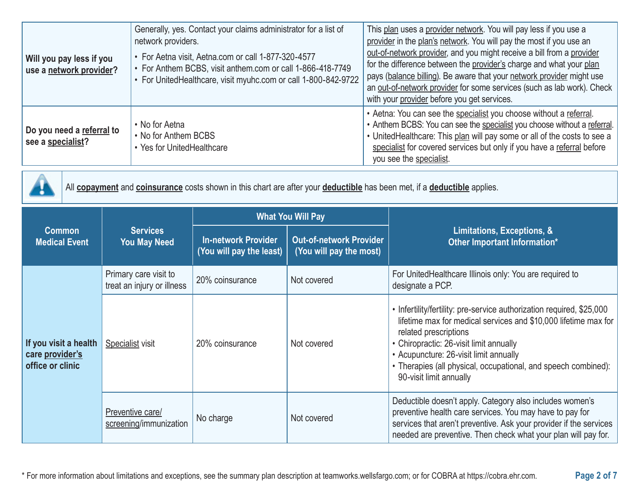| Will you pay less if you<br>use a network provider? | Generally, yes. Contact your claims administrator for a list of<br>network providers.<br>• For Aetna visit, Aetna.com or call 1-877-320-4577<br>• For Anthem BCBS, visit anthem.com or call 1-866-418-7749<br>• For UnitedHealthcare, visit myuhc.com or call 1-800-842-9722 | This plan uses a provider network. You will pay less if you use a<br>provider in the plan's network. You will pay the most if you use an<br>out-of-network provider, and you might receive a bill from a provider<br>for the difference between the provider's charge and what your plan<br>pays (balance billing). Be aware that your network provider might use<br>an out-of-network provider for some services (such as lab work). Check<br>with your provider before you get services. |
|-----------------------------------------------------|------------------------------------------------------------------------------------------------------------------------------------------------------------------------------------------------------------------------------------------------------------------------------|--------------------------------------------------------------------------------------------------------------------------------------------------------------------------------------------------------------------------------------------------------------------------------------------------------------------------------------------------------------------------------------------------------------------------------------------------------------------------------------------|
| Do you need a referral to<br>see a specialist?      | • No for Aetna<br>• No for Anthem BCBS<br>• Yes for UnitedHealthcare                                                                                                                                                                                                         | • Aetna: You can see the specialist you choose without a referral.<br>• Anthem BCBS: You can see the specialist you choose without a referral.<br>• UnitedHealthcare: This plan will pay some or all of the costs to see a<br>specialist for covered services but only if you have a referral before<br>you see the specialist.                                                                                                                                                            |



All **copayment** and **coinsurance** costs shown in this chart are after your **deductible** has been met, if a **deductible** applies.

|                                                              | <b>Services</b><br><b>You May Need</b>              |                                                        | <b>What You Will Pay</b>                                  | Limitations, Exceptions, &<br>Other Important Information*                                                                                                                                                                                                                                                                                          |  |
|--------------------------------------------------------------|-----------------------------------------------------|--------------------------------------------------------|-----------------------------------------------------------|-----------------------------------------------------------------------------------------------------------------------------------------------------------------------------------------------------------------------------------------------------------------------------------------------------------------------------------------------------|--|
| Common<br><b>Medical Event</b>                               |                                                     | <b>In-network Provider</b><br>(You will pay the least) | <b>Out-of-network Provider</b><br>(You will pay the most) |                                                                                                                                                                                                                                                                                                                                                     |  |
|                                                              | Primary care visit to<br>treat an injury or illness | 20% coinsurance                                        | Not covered                                               | For UnitedHealthcare Illinois only: You are required to<br>designate a PCP.                                                                                                                                                                                                                                                                         |  |
| If you visit a health<br>care provider's<br>office or clinic | <b>Specialist visit</b>                             | 20% coinsurance                                        | Not covered                                               | • Infertility/fertility: pre-service authorization required, \$25,000<br>lifetime max for medical services and \$10,000 lifetime max for<br>related prescriptions<br>• Chiropractic: 26-visit limit annually<br>• Acupuncture: 26-visit limit annually<br>• Therapies (all physical, occupational, and speech combined):<br>90-visit limit annually |  |
|                                                              | Preventive care/<br>screening/immunization          | No charge                                              | Not covered                                               | Deductible doesn't apply. Category also includes women's<br>preventive health care services. You may have to pay for<br>services that aren't preventive. Ask your provider if the services<br>needed are preventive. Then check what your plan will pay for.                                                                                        |  |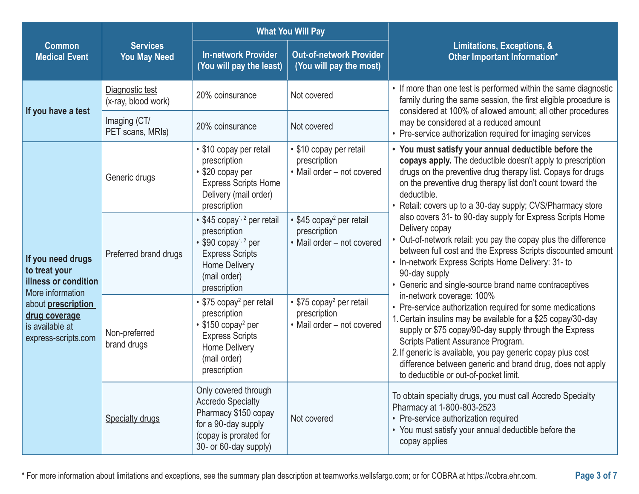|                                                                                                                                                                        |                                        |                                                                                                                                                                        | <b>What You Will Pay</b>                                                           |                                                                                                                                                                                                                                                                                                                                                                                                                             |  |
|------------------------------------------------------------------------------------------------------------------------------------------------------------------------|----------------------------------------|------------------------------------------------------------------------------------------------------------------------------------------------------------------------|------------------------------------------------------------------------------------|-----------------------------------------------------------------------------------------------------------------------------------------------------------------------------------------------------------------------------------------------------------------------------------------------------------------------------------------------------------------------------------------------------------------------------|--|
| <b>Common</b><br><b>Medical Event</b>                                                                                                                                  | <b>Services</b><br><b>You May Need</b> | <b>In-network Provider</b><br>(You will pay the least)                                                                                                                 | <b>Out-of-network Provider</b><br>(You will pay the most)                          | Limitations, Exceptions, &<br>Other Important Information*                                                                                                                                                                                                                                                                                                                                                                  |  |
|                                                                                                                                                                        | Diagnostic test<br>(x-ray, blood work) | 20% coinsurance                                                                                                                                                        | Not covered                                                                        | • If more than one test is performed within the same diagnostic<br>family during the same session, the first eligible procedure is<br>considered at 100% of allowed amount; all other procedures                                                                                                                                                                                                                            |  |
| If you have a test                                                                                                                                                     | Imaging (CT/<br>PET scans, MRIs)       | 20% coinsurance                                                                                                                                                        | Not covered                                                                        | may be considered at a reduced amount<br>• Pre-service authorization required for imaging services                                                                                                                                                                                                                                                                                                                          |  |
|                                                                                                                                                                        | Generic drugs                          | • \$10 copay per retail<br>prescription<br>• \$20 copay per<br><b>Express Scripts Home</b><br>Delivery (mail order)<br>prescription                                    | • \$10 copay per retail<br>prescription<br>• Mail order - not covered              | • You must satisfy your annual deductible before the<br>copays apply. The deductible doesn't apply to prescription<br>drugs on the preventive drug therapy list. Copays for drugs<br>on the preventive drug therapy list don't count toward the<br>deductible.<br>• Retail: covers up to a 30-day supply; CVS/Pharmacy store                                                                                                |  |
| If you need drugs<br>to treat your<br>illness or condition<br>More information<br>about <b>prescription</b><br>drug coverage<br>is available at<br>express-scripts.com | Preferred brand drugs                  | • \$45 copay <sup>1, 2</sup> per retail<br>prescription<br>• \$90 copay <sup>1, 2</sup> per<br><b>Express Scripts</b><br>Home Delivery<br>(mail order)<br>prescription | • \$45 copay <sup>2</sup> per retail<br>prescription<br>• Mail order - not covered | also covers 31- to 90-day supply for Express Scripts Home<br>Delivery copay<br>Out-of-network retail: you pay the copay plus the difference<br>between full cost and the Express Scripts discounted amount<br>• In-network Express Scripts Home Delivery: 31- to<br>90-day supply<br>• Generic and single-source brand name contraceptives                                                                                  |  |
|                                                                                                                                                                        | Non-preferred<br>brand drugs           | • \$75 copay <sup>2</sup> per retail<br>prescription<br>• \$150 copay <sup>2</sup> per<br><b>Express Scripts</b><br>Home Delivery<br>(mail order)<br>prescription      | • \$75 copay <sup>2</sup> per retail<br>prescription<br>• Mail order - not covered | in-network coverage: 100%<br>• Pre-service authorization required for some medications<br>1. Certain insulins may be available for a \$25 copay/30-day<br>supply or \$75 copay/90-day supply through the Express<br>Scripts Patient Assurance Program.<br>2. If generic is available, you pay generic copay plus cost<br>difference between generic and brand drug, does not apply<br>to deductible or out-of-pocket limit. |  |
|                                                                                                                                                                        | <b>Specialty drugs</b>                 | Only covered through<br><b>Accredo Specialty</b><br>Pharmacy \$150 copay<br>for a 90-day supply<br>(copay is prorated for<br>30- or 60-day supply)                     | Not covered                                                                        | To obtain specialty drugs, you must call Accredo Specialty<br>Pharmacy at 1-800-803-2523<br>• Pre-service authorization required<br>• You must satisfy your annual deductible before the<br>copay applies                                                                                                                                                                                                                   |  |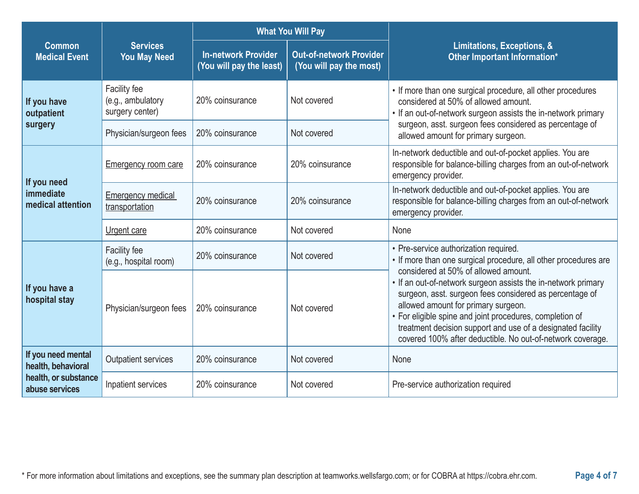|                                                                                                                                                                                                        |                                                      |                                                            | <b>What You Will Pay</b> |                                                                                                                                                                                                                                                                                                                                                                                                  |  |
|--------------------------------------------------------------------------------------------------------------------------------------------------------------------------------------------------------|------------------------------------------------------|------------------------------------------------------------|--------------------------|--------------------------------------------------------------------------------------------------------------------------------------------------------------------------------------------------------------------------------------------------------------------------------------------------------------------------------------------------------------------------------------------------|--|
| <b>Services</b><br><b>Common</b><br><b>In-network Provider</b><br><b>Out-of-network Provider</b><br><b>Medical Event</b><br><b>You May Need</b><br>(You will pay the least)<br>(You will pay the most) |                                                      | Limitations, Exceptions, &<br>Other Important Information* |                          |                                                                                                                                                                                                                                                                                                                                                                                                  |  |
| If you have<br>outpatient                                                                                                                                                                              | Facility fee<br>(e.g., ambulatory<br>surgery center) | 20% coinsurance                                            | Not covered              | • If more than one surgical procedure, all other procedures<br>considered at 50% of allowed amount.<br>• If an out-of-network surgeon assists the in-network primary                                                                                                                                                                                                                             |  |
| surgery                                                                                                                                                                                                | Physician/surgeon fees                               | 20% coinsurance                                            | Not covered              | surgeon, asst. surgeon fees considered as percentage of<br>allowed amount for primary surgeon.                                                                                                                                                                                                                                                                                                   |  |
|                                                                                                                                                                                                        | <b>Emergency room care</b>                           | 20% coinsurance                                            | 20% coinsurance          | In-network deductible and out-of-pocket applies. You are<br>responsible for balance-billing charges from an out-of-network<br>emergency provider.                                                                                                                                                                                                                                                |  |
| If you need<br>immediate<br>medical attention                                                                                                                                                          | <b>Emergency medical</b><br>transportation           | 20% coinsurance                                            | 20% coinsurance          | In-network deductible and out-of-pocket applies. You are<br>responsible for balance-billing charges from an out-of-network<br>emergency provider.                                                                                                                                                                                                                                                |  |
|                                                                                                                                                                                                        | Urgent care                                          | 20% coinsurance                                            | Not covered              | None                                                                                                                                                                                                                                                                                                                                                                                             |  |
| If you have a<br>hospital stay                                                                                                                                                                         | Facility fee<br>(e.g., hospital room)                | 20% coinsurance                                            | Not covered              | • Pre-service authorization required.<br>• If more than one surgical procedure, all other procedures are                                                                                                                                                                                                                                                                                         |  |
|                                                                                                                                                                                                        | Physician/surgeon fees                               | 20% coinsurance                                            | Not covered              | considered at 50% of allowed amount.<br>. If an out-of-network surgeon assists the in-network primary<br>surgeon, asst. surgeon fees considered as percentage of<br>allowed amount for primary surgeon.<br>• For eligible spine and joint procedures, completion of<br>treatment decision support and use of a designated facility<br>covered 100% after deductible. No out-of-network coverage. |  |
| If you need mental<br>health, behavioral                                                                                                                                                               | <b>Outpatient services</b>                           | 20% coinsurance                                            | Not covered              | None                                                                                                                                                                                                                                                                                                                                                                                             |  |
| health, or substance<br>abuse services                                                                                                                                                                 | Inpatient services                                   | 20% coinsurance                                            | Not covered              | Pre-service authorization required                                                                                                                                                                                                                                                                                                                                                               |  |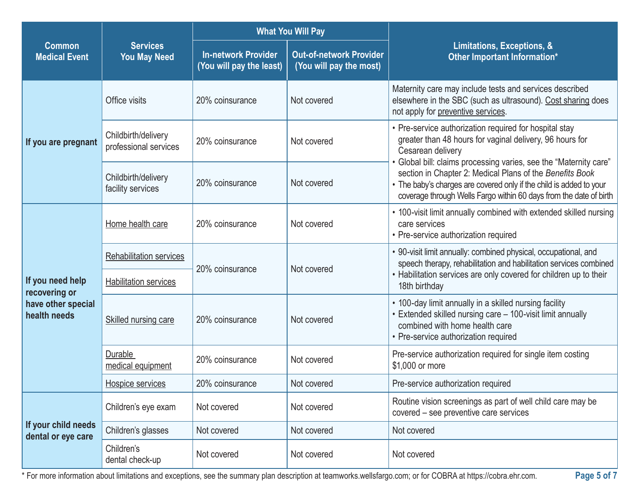|                                                                         |                                                                | <b>What You Will Pay</b>                               |                                                           |                                                                                                                                                                                                                                                                            |  |
|-------------------------------------------------------------------------|----------------------------------------------------------------|--------------------------------------------------------|-----------------------------------------------------------|----------------------------------------------------------------------------------------------------------------------------------------------------------------------------------------------------------------------------------------------------------------------------|--|
| <b>Common</b><br><b>Medical Event</b>                                   | <b>Services</b><br><b>You May Need</b>                         | <b>In-network Provider</b><br>(You will pay the least) | <b>Out-of-network Provider</b><br>(You will pay the most) | Limitations, Exceptions, &<br>Other Important Information*                                                                                                                                                                                                                 |  |
|                                                                         | Office visits                                                  | 20% coinsurance                                        | Not covered                                               | Maternity care may include tests and services described<br>elsewhere in the SBC (such as ultrasound). Cost sharing does<br>not apply for preventive services.                                                                                                              |  |
| If you are pregnant                                                     | Childbirth/delivery<br>professional services                   | 20% coinsurance                                        | Not covered                                               | • Pre-service authorization required for hospital stay<br>greater than 48 hours for vaginal delivery, 96 hours for<br>Cesarean delivery                                                                                                                                    |  |
|                                                                         | Childbirth/delivery<br>facility services                       | 20% coinsurance                                        | Not covered                                               | • Global bill: claims processing varies, see the "Maternity care"<br>section in Chapter 2: Medical Plans of the Benefits Book<br>• The baby's charges are covered only if the child is added to your<br>coverage through Wells Fargo within 60 days from the date of birth |  |
| If you need help<br>recovering or<br>have other special<br>health needs | Home health care                                               | 20% coinsurance                                        | Not covered                                               | • 100-visit limit annually combined with extended skilled nursing<br>care services<br>• Pre-service authorization required                                                                                                                                                 |  |
|                                                                         | <b>Rehabilitation services</b><br><b>Habilitation services</b> | 20% coinsurance                                        | Not covered                                               | • 90-visit limit annually: combined physical, occupational, and<br>speech therapy, rehabilitation and habilitation services combined<br>• Habilitation services are only covered for children up to their<br>18th birthday                                                 |  |
|                                                                         | Skilled nursing care                                           | 20% coinsurance                                        | Not covered                                               | • 100-day limit annually in a skilled nursing facility<br>• Extended skilled nursing care - 100-visit limit annually<br>combined with home health care<br>• Pre-service authorization required                                                                             |  |
|                                                                         | Durable<br>medical equipment                                   | 20% coinsurance                                        | Not covered                                               | Pre-service authorization required for single item costing<br>\$1,000 or more                                                                                                                                                                                              |  |
|                                                                         | Hospice services                                               | 20% coinsurance                                        | Not covered                                               | Pre-service authorization required                                                                                                                                                                                                                                         |  |
|                                                                         | Children's eye exam                                            | Not covered                                            | Not covered                                               | Routine vision screenings as part of well child care may be<br>covered - see preventive care services                                                                                                                                                                      |  |
| If your child needs<br>dental or eye care                               | Children's glasses                                             | Not covered                                            | Not covered                                               | Not covered                                                                                                                                                                                                                                                                |  |
|                                                                         | Children's<br>dental check-up                                  | Not covered                                            | Not covered                                               | Not covered                                                                                                                                                                                                                                                                |  |

\* For more information about limitations and exceptions, see the summary plan description at teamworks.wellsfargo.com; or for COBRA at https://cobra.ehr.com. **Page 5 of 7**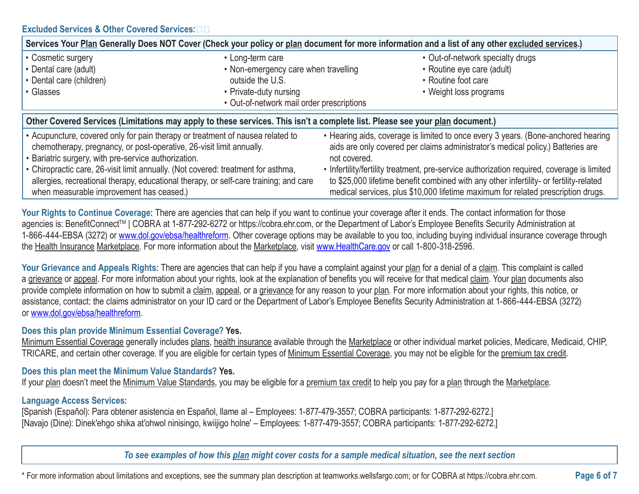| Services Your Plan Generally Does NOT Cover (Check your policy or plan document for more information and a list of any other excluded services.)                                                                       |                                           |                                                                                                                                                                                                                                                                          |  |  |  |
|------------------------------------------------------------------------------------------------------------------------------------------------------------------------------------------------------------------------|-------------------------------------------|--------------------------------------------------------------------------------------------------------------------------------------------------------------------------------------------------------------------------------------------------------------------------|--|--|--|
| • Cosmetic surgery                                                                                                                                                                                                     | • Long-term care                          | • Out-of-network specialty drugs                                                                                                                                                                                                                                         |  |  |  |
| • Dental care (adult)                                                                                                                                                                                                  | • Non-emergency care when travelling      | • Routine eye care (adult)                                                                                                                                                                                                                                               |  |  |  |
| • Dental care (children)                                                                                                                                                                                               | outside the U.S.                          | • Routine foot care                                                                                                                                                                                                                                                      |  |  |  |
| • Glasses                                                                                                                                                                                                              | • Private-duty nursing                    | • Weight loss programs                                                                                                                                                                                                                                                   |  |  |  |
|                                                                                                                                                                                                                        | • Out-of-network mail order prescriptions |                                                                                                                                                                                                                                                                          |  |  |  |
| Other Covered Services (Limitations may apply to these services. This isn't a complete list. Please see your plan document.)                                                                                           |                                           |                                                                                                                                                                                                                                                                          |  |  |  |
| • Acupuncture, covered only for pain therapy or treatment of nausea related to<br>chemotherapy, pregnancy, or post-operative, 26-visit limit annually.<br>• Bariatric surgery, with pre-service authorization.         |                                           | • Hearing aids, coverage is limited to once every 3 years. (Bone-anchored hearing<br>aids are only covered per claims administrator's medical policy.) Batteries are<br>not covered.                                                                                     |  |  |  |
| • Chiropractic care, 26-visit limit annually. (Not covered: treatment for asthma,<br>allergies, recreational therapy, educational therapy, or self-care training; and care<br>when measurable improvement has ceased.) |                                           | • Infertility/fertility treatment, pre-service authorization required, coverage is limited<br>to \$25,000 lifetime benefit combined with any other infertility- or fertility-related<br>medical services, plus \$10,000 lifetime maximum for related prescription drugs. |  |  |  |

Your Rights to Continue Coverage: There are agencies that can help if you want to continue your coverage after it ends. The contact information for those agencies is: BenefitConnect™ | COBRA at 1-877-292-6272 or https://cobra.ehr.com, or the Department of Labor's Employee Benefits Security Administration at 1-866-444-EBSA (3272) or www.dol.gov/ebsa/healthreform. Other coverage options may be available to you too, including buying individual insurance coverage through the Health Insurance Marketplace. For more information about the Marketplace, visit www.HealthCare.gov or call 1-800-318-2596.

Your Grievance and Appeals Rights: There are agencies that can help if you have a complaint against your plan for a denial of a claim. This complaint is called a grievance or appeal. For more information about your rights, look at the explanation of benefits you will receive for that medical claim. Your plan documents also provide complete information on how to submit a claim, appeal, or a grievance for any reason to your plan. For more information about your rights, this notice, or assistance, contact: the claims administrator on your ID card or the Department of Labor's Employee Benefits Security Administration at 1-866-444-EBSA (3272) or www.dol.gov/ebsa/healthreform.

#### **Does this plan provide Minimum Essential Coverage? Yes.**

Minimum Essential Coverage generally includes plans, health insurance available through the Marketplace or other individual market policies, Medicare, Medicaid, CHIP, TRICARE, and certain other coverage. If you are eligible for certain types of Minimum Essential Coverage, you may not be eligible for the premium tax credit.

# **Does this plan meet the Minimum Value Standards? Yes.**

If your plan doesn't meet the Minimum Value Standards, you may be eligible for a premium tax credit to help you pay for a plan through the Marketplace.

# **Language Access Services:**

 [Spanish (Español): Para obtener asistencia en Español, llame al – Employees: 1-877-479-3557; COBRA participants: 1-877-292-6272.] [Navajo (Dine): Dinek'ehgo shika at'ohwol ninisingo, kwiijigo holne' – Employees: 1-877-479-3557; COBRA participants: 1-877-292-6272.]

*To see examples of how this plan might cover costs for a sample medical situation, see the next section*